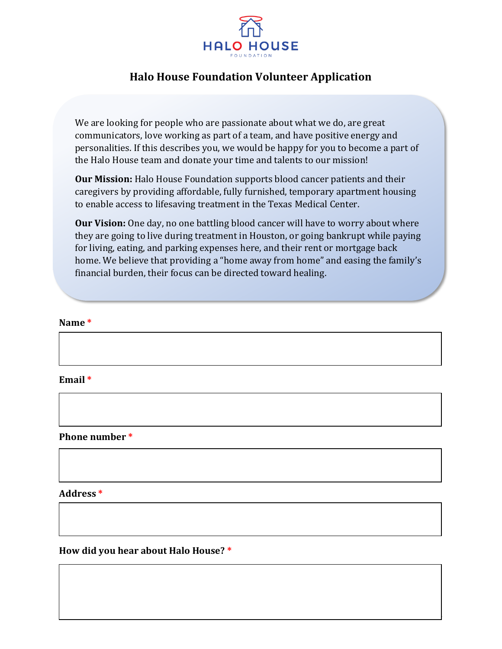

We are looking for people who are passionate about what we do, are great communicators, love working as part of a team, and have positive energy and personalities. If this describes you, we would be happy for you to become a part of the Halo House team and donate your time and talents to our mission!

**Our Mission:** Halo House Foundation supports blood cancer patients and their caregivers by providing affordable, fully furnished, temporary apartment housing to enable access to lifesaving treatment in the Texas Medical Center.

**Our Vision:** One day, no one battling blood cancer will have to worry about where they are going to live during treatment in Houston, or going bankrupt while paying for living, eating, and parking expenses here, and their rent or mortgage back home. We believe that providing a "home away from home" and easing the family's financial burden, their focus can be directed toward healing.

2022

#### **Name \***

**Email \***

**Phone number \***

**Address \*** 

**How did you hear about Halo House? \***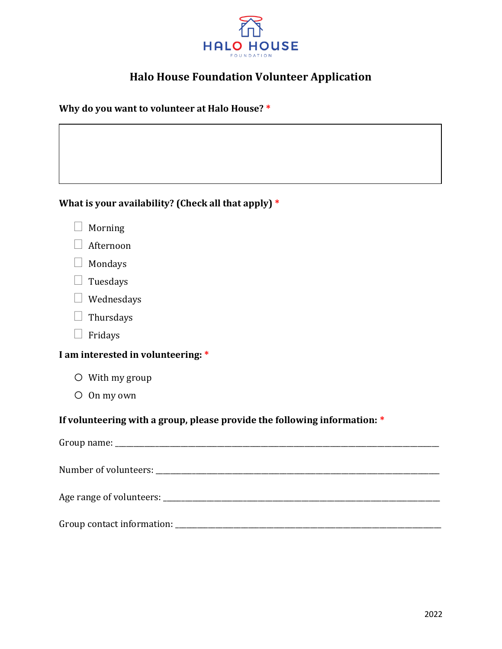

#### **Why do you want to volunteer at Halo House? \***

#### **What is your availability? (Check all that apply) \***

| Morning |  |
|---------|--|
|---------|--|

- Afternoon
- Mondays
- $\Box$  Tuesdays
- Wednesdays
- $\Box$  Thursdays
- $\Box$  Fridays

### **I am interested in volunteering: \***

- o With my group
- o On my own

#### **If volunteering with a group, please provide the following information: \***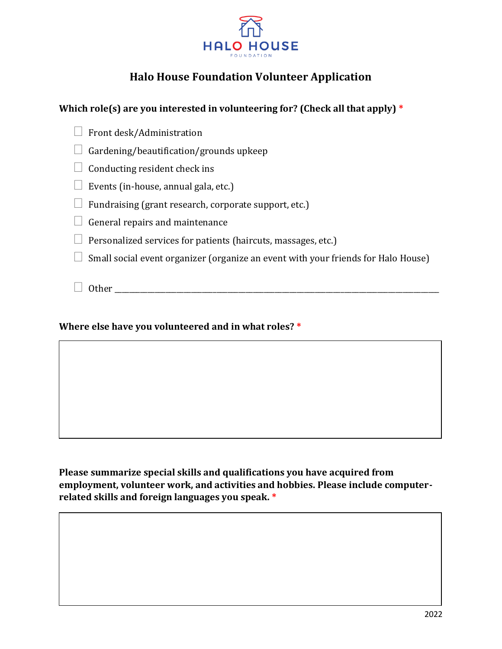

### **Which role(s) are you interested in volunteering for? (Check all that apply) \***

|  |  | $\Box$ Front desk/Administration |
|--|--|----------------------------------|
|--|--|----------------------------------|

- $\Box$  Gardening/beautification/grounds upkeep
- $\Box$  Conducting resident check ins
- $\Box$  Events (in-house, annual gala, etc.)
- $\Box$  Fundraising (grant research, corporate support, etc.)
- $\Box$  General repairs and maintenance
- $\Box$  Personalized services for patients (haircuts, massages, etc.)
- $\Box$  Small social event organizer (organize an event with your friends for Halo House)

 $\Box$  Other

#### **Where else have you volunteered and in what roles? \***

**Please summarize special skills and qualifications you have acquired from employment, volunteer work, and activities and hobbies. Please include computerrelated skills and foreign languages you speak. \***